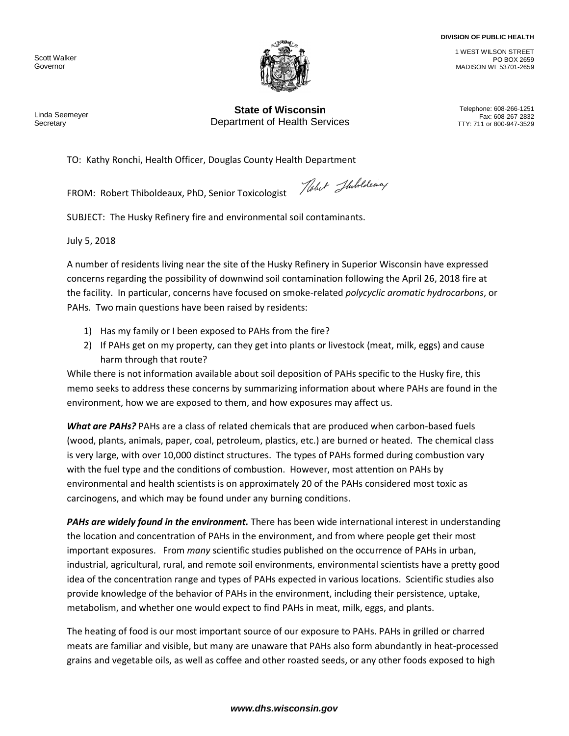## **DIVISION OF PUBLIC HEALTH**

Scott Walker Governor



Linda Seemeyer **Secretary** 

**State of Wisconsin**<br>Felephone: 608-266-1251 **Department of Health Services** TTY: 711 or 800-947-3529

1 WEST WILSON STREET

MADISON WI 53701-2659

PO BOX 2659

TO: Kathy Ronchi, Health Officer, Douglas County Health Department

FROM: Robert Thiboldeaux, PhD, Senior Toxicologist

Nobel Shibolding

SUBJECT: The Husky Refinery fire and environmental soil contaminants.

July 5, 2018

A number of residents living near the site of the Husky Refinery in Superior Wisconsin have expressed concerns regarding the possibility of downwind soil contamination following the April 26, 2018 fire at the facility. In particular, concerns have focused on smoke-related *polycyclic aromatic hydrocarbons*, or PAHs. Two main questions have been raised by residents:

- 1) Has my family or I been exposed to PAHs from the fire?
- 2) If PAHs get on my property, can they get into plants or livestock (meat, milk, eggs) and cause harm through that route?

While there is not information available about soil deposition of PAHs specific to the Husky fire, this memo seeks to address these concerns by summarizing information about where PAHs are found in the environment, how we are exposed to them, and how exposures may affect us.

*What are PAHs?* PAHs are a class of related chemicals that are produced when carbon-based fuels (wood, plants, animals, paper, coal, petroleum, plastics, etc.) are burned or heated. The chemical class is very large, with over 10,000 distinct structures. The types of PAHs formed during combustion vary with the fuel type and the conditions of combustion. However, most attention on PAHs by environmental and health scientists is on approximately 20 of the PAHs considered most toxic as carcinogens, and which may be found under any burning conditions.

*PAHs are widely found in the environment.* There has been wide international interest in understanding the location and concentration of PAHs in the environment, and from where people get their most important exposures. From *many* scientific studies published on the occurrence of PAHs in urban, industrial, agricultural, rural, and remote soil environments, environmental scientists have a pretty good idea of the concentration range and types of PAHs expected in various locations. Scientific studies also provide knowledge of the behavior of PAHs in the environment, including their persistence, uptake, metabolism, and whether one would expect to find PAHs in meat, milk, eggs, and plants.

The heating of food is our most important source of our exposure to PAHs. PAHs in grilled or charred meats are familiar and visible, but many are unaware that PAHs also form abundantly in heat-processed grains and vegetable oils, as well as coffee and other roasted seeds, or any other foods exposed to high

## *www.dhs.wisconsin.gov*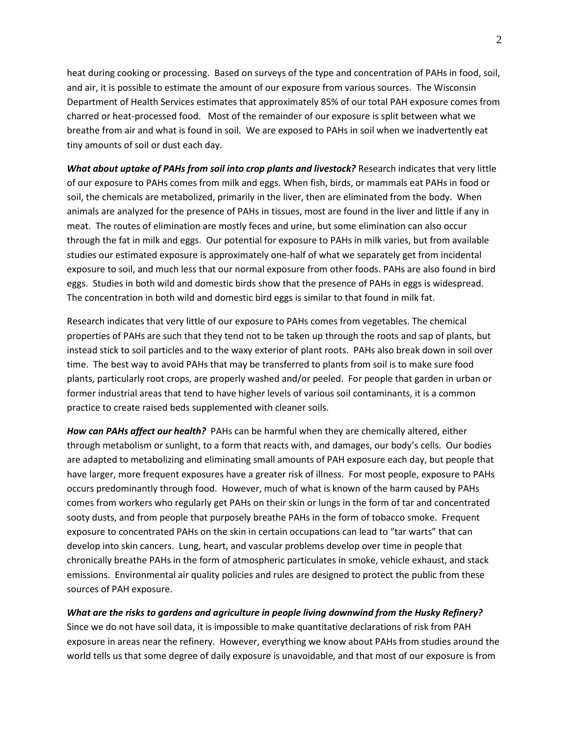heat during cooking or processing. Based on surveys of the type and concentration of PAHs in food, soil, and air, it is possible to estimate the amount of our exposure from various sources. The Wisconsin Department of Health Services estimates that approximately 85% of our total PAH exposure comes from charred or heat-processed food. Most of the remainder of our exposure is split between what we breathe from air and what is found in soil. We are exposed to PAHs in soil when we inadvertently eat tiny amounts of soil or dust each day.

*What about uptake of PAHs from soil into crop plants and livestock?* Research indicates that very little of our exposure to PAHs comes from milk and eggs. When fish, birds, or mammals eat PAHs in food or soil, the chemicals are metabolized, primarily in the liver, then are eliminated from the body. When animals are analyzed for the presence of PAHs in tissues, most are found in the liver and little if any in meat. The routes of elimination are mostly feces and urine, but some elimination can also occur through the fat in milk and eggs. Our potential for exposure to PAHs in milk varies, but from available studies our estimated exposure is approximately one-half of what we separately get from incidental exposure to soil, and much less that our normal exposure from other foods. PAHs are also found in bird eggs. Studies in both wild and domestic birds show that the presence of PAHs in eggs is widespread. The concentration in both wild and domestic bird eggs is similar to that found in milk fat.

Research indicates that very little of our exposure to PAHs comes from vegetables. The chemical properties of PAHs are such that they tend not to be taken up through the roots and sap of plants, but instead stick to soil particles and to the waxy exterior of plant roots. PAHs also break down in soil over time. The best way to avoid PAHs that may be transferred to plants from soil is to make sure food plants, particularly root crops, are properly washed and/or peeled. For people that garden in urban or former industrial areas that tend to have higher levels of various soil contaminants, it is a common practice to create raised beds supplemented with cleaner soils.

*How can PAHs affect our health?* PAHs can be harmful when they are chemically altered, either through metabolism or sunlight, to a form that reacts with, and damages, our body's cells. Our bodies are adapted to metabolizing and eliminating small amounts of PAH exposure each day, but people that have larger, more frequent exposures have a greater risk of illness. For most people, exposure to PAHs occurs predominantly through food. However, much of what is known of the harm caused by PAHs comes from workers who regularly get PAHs on their skin or lungs in the form of tar and concentrated sooty dusts, and from people that purposely breathe PAHs in the form of tobacco smoke. Frequent exposure to concentrated PAHs on the skin in certain occupations can lead to "tar warts" that can develop into skin cancers. Lung, heart, and vascular problems develop over time in people that chronically breathe PAHs in the form of atmospheric particulates in smoke, vehicle exhaust, and stack emissions. Environmental air quality policies and rules are designed to protect the public from these sources of PAH exposure.

*What are the risks to gardens and agriculture in people living downwind from the Husky Refinery?* Since we do not have soil data, it is impossible to make quantitative declarations of risk from PAH exposure in areas near the refinery. However, everything we know about PAHs from studies around the world tells us that some degree of daily exposure is unavoidable, and that most of our exposure is from